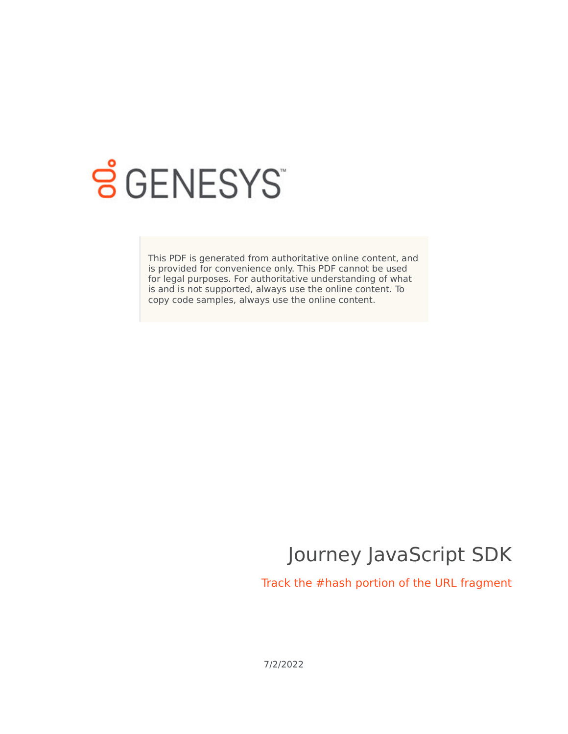

# **S** GENESYS

This PDF is generated from authoritative online content, and is provided for convenience only. This PDF cannot be used for legal purposes. For authoritative understanding of what is and is not supported, always use the online content. To copy code samples, always use the online content.

## Journey JavaScript SDK

Track the #hash portion of the URL fragment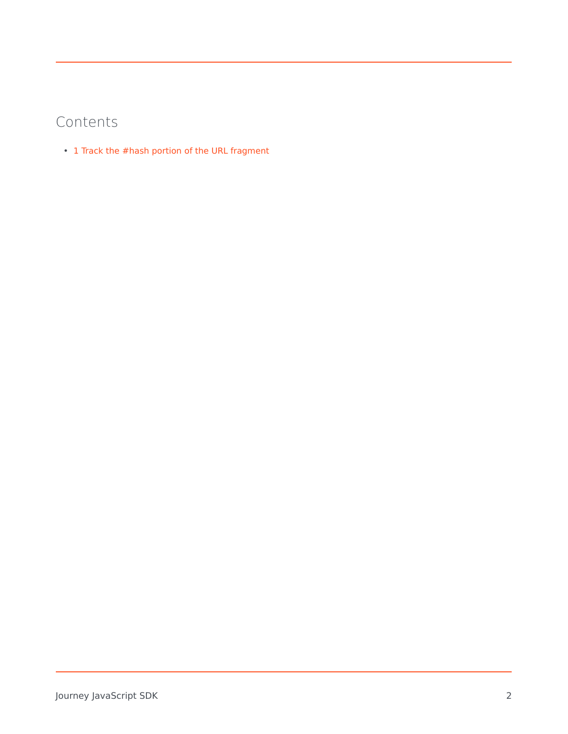### Contents

• 1 [Track the #hash portion of the URL fragment](#page-2-0)